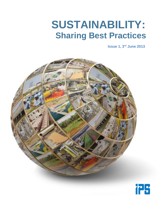# **SUSTAINABILITY: Sharing Best Practices**

**Issue 1, 3rd June 2013**

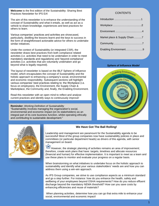**Welcome** to the first edition of the Sustainability: Sharing Best Practices Newsletter for IPS EA!

The aim of this newsletter is to enhance the understanding of the concept of Sustainability and what it entails, as well as act as a vehicle to share knowledge, experiences and best practices for others to learn.

Various companies' practices and activities are showcased, particularly, distilling the lessons learnt and the keys to success in the form of straightforward actionable advice for others to undertake similar initiatives.

Under the context of Sustainability (or integrated CSR), the newsletter draws best practices from both compliance related activities (i.e. activities that need to be undertaken in order to meet mandatory standards and regulations) and 'beyond compliance' activities (i.e. activities that are voluntarily undertaken and go beyond what is legally required).

The layout of newsletter is based on the IBLF Sphere of Influence model, which encapsulates the concept of Sustainability and the holistic approach to enhancing a company's social, environmental and economic responsibility. Subsequent sections will highlight various companies' best practices relating to: the Workplace (i.e. focus on employees), the Environment, the Supply Chain & Marketplace, the Community and, finally, the Enabling Environment.

Read this newsletter with an open mind to reflect and analyse current practices and identify ways to continuously improve!

**Reminder:** *Working Definition of Sustainability* 'Sustainability involves managing the organization's social, environmental and economic impact (on its stakeholders) as an integral part of its core business function, whilst operating ethically and contributing to sustainable development.'

### **CONTENTS**

| Market place & Supply Chain7 |  |
|------------------------------|--|
|                              |  |
| Enabling Environment9        |  |

#### *Sphere of Influence Model*





### **We Have Got The Ball Rolling!**

Leadership and management are paramount for the Sustainability agenda to be successful! Most of the group companies now have sustainability policies in place and committees (or particular department heads) as drivers of this agenda, with senior management on board.

However, the strategic planning of activities remains an area of improvement; therefore, create work plans that have: targets, timelines and allocate resources (financial and human) for effective implementation. It is important to meet as a team and use these plans to monitor and evaluate your progress on a regular basis.

When brainstorming on what initiatives to undertake focus on the holistic approach to sustainability and identify what your various stakeholders' needs are and how you can address them using a win-win approach.

As IPS Group companies, we strive to use compliance aspects as a minimum standard and go a step further. For instance: how do you enhance the health, safety and wellbeing of your employees beyond OSHA requirements? How do you reduce effluent discharge beyond the mandatory NEMA threshold? How can you save costs by enhancing efficiencies and reuse of materials?

When planning activities, determine how you can go that extra mile to enhance your social, environmental and economic impact!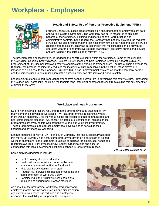# **Workplace - Employees**



### **Health and Safety: Use of Personal Protective Equipment (PPEs)**

Farmers Choice Ltd. places great emphasis on ensuring that their employees are safe and work in a safe environment. The Company has put in measures to eliminate hazards at the workplace, including engineering control, work practice and administrative controls. In this regard, the Company has not only provided the required PPEs but has also ensured that the technical know-how on the need and use of PPEs is disseminated to all staff. This was in recognition that most injuries can be prevented if operators wear the right protective clothing (particularly, protective aprons and gloves) and are trained in the correct use of relevant PPE.

The provision of the necessary PPE is tagged to the hazard exposure within the workplace. Some of the available PPEs include: Goggles, Safety glasses, Helmets, Safety shoes and Self Contained Breathing Apparatus (SCBA). Enforcement of PPE use has improved safety standards at the workplace tremendously. The use of chain gloves in the Butchery, for instance, considerably reduces the incidents of cuts from knives in this section; these gloves are imported at a high cost to the Company. Similarly, SCBA has improved paint spraying work at the company garage and the screens used to ensure isolation of this spraying work has also improved workers safety.

Leadership, trust and support from Management have been the key pillars in developing this safety culture. Purchasing PPEs does incur some initial costs but the tangible (and intangible) benefits that result from availing this equipment far outweigh these costs.

#### **Workplace Wellness Programme**

Due to high external pressure resulting from the emergency status attached to HIV, many companies developed workplace HIV/AIDS programmes in countries where there was an epidemic. Over the years, as the prevalence of other communicable and non-communicable diseases (e.g. cancer, diabetes, etc) continues to increase, these programmes are evolving into Comprehensive Workplace Wellness Programmes. These programmes aim to address employees' physical health as well as their financial and psychosocial wellbeing.

Leather Industries of Kenya (LIK) is one such Company that has successfully adopted this move. LIK currently has a structured programme driven by a core team of trained wellness champions. The programme is tailored to address the employees' needs and resources available. It involves local Civil Society Organisations and ensures connections with local government institutions especially for referral purposes.

Some activities undertaken include:

- Health trainings for peer educators.
- Health education sessions conducted by peer educators or external facilitators for all staff.
- Financial literacy training for all staff.
- Regular VCT services, distribution of condoms and commemoration of World AIDS Day.
- Participating in the AKDN wellness champions' trainings and sharing best practice meetings.

As a result of the programme, workplace productivity and employee morale has increased; stigma and discrimination against various illnesses has reduced and employees recognise the availability of support at the workplace.



*Peer Educator Training at LIK*

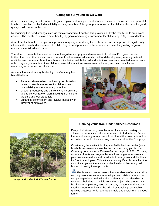### **Caring for our young as We Work**

Amid the increasing need for women to gain employment to supplement household income, the rise in mono-parental families as well as the limited availability of family members (like grandparents) to care for children, the need for good quality child care is on the rise.

Recognising this need amongst its large female workforce, Frigoken Ltd. provides a Crèche facility for its employees' children. The facility maintains a safe, healthy, hygienic and caring environment for children aged 3 years and below.

Apart from the benefit to the parents, provision of quality care during the early years has been proven to significantly influence the holistic development of a child. Neglect and poor care in these years can have long lasting negative effects on a child's development.

Therefore, to promote the social, emotional, cognitive and physical development of children, FKL goes one step further. It ensures that: its staffs are competent and experienced in early childhood development; learning material and infrastructure are sufficient to enhance stimulation; well balanced and nutritious meals are provided; mothers are able to regularly breast feed their children; parental education classes are conducted; and basic health care monitoring is performed on all children.

As a result of establishing this facility, the Company has benefitted from:

- Reduced absenteeism, particularly, attributed to having to stay home to care for children due to unavailability of the temporary caregiver.
- Greater productivity and efficiency as parents are able to concentrate on work knowing their children are safe and well cared for.
- Enhanced commitment and loyalty; thus a lower turnover of employees.





*Kamyn Industries Ltd. Kitchen Garden*

#### **Gaining Value from Underutilised Resources**

Kamyn Industries Ltd., manufacturer of socks and hosiery, is situated in the vicinity of the serene seaport of Mombasa. Behind the manufacturing facility was a tract of land that was underutilised and often prone to idlers - posing a security risk to the Company.

Considering the availability of space, fertile land and water (-as a borehole was already in use by the manufacturing plant-), the Company commenced a *Kitchen Garden* project in 2011. To date, a variety of fruits and vegetables (such as: sugarcane, cassava, pawpaw, watermelons and passion fruit) are grown and distributed for free to employees. This initiative has significantly benefited the staff of Kamyn, as it acts as a motivational tool, lessening their burden of buying these products.

曾 This is an innovative project that was able to effectively utilise existing resources without increasing costs. While at Kamyn the company gardener maintains the garden, staff can also directly volunteer their time to participate in the project. The produce can be given to employees, used in company canteens or donated to charities. Further value can be added by teaching sustainable growing practices, which are transferable and useful in employees' farms.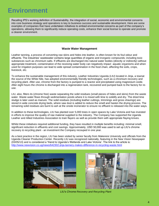## **Environment**

Recalling IPS's working definition of Sustainability, the integration of social, economic and environmental concerns into core business strategy and operations is key to business success and sustainable development. Here are some examples of companies that have undertaken initiatives to embed environmental concerns as part of the company's operations, allowing them to significantly reduce operating costs, enhance their social license to operate and promote a cleaner environment.

#### **Waste Water Management**

Leather tanning, a process of converting raw skins and hides into leather, is often known for its foul odour and effluents. The industries' wastewater contains large quantities of organic and inorganic compounds; including toxic substances such as chromium salts. If effluents are discharged into natural water bodies (directly or indirectly) without appropriate treatment, contamination of the receiving water body can negatively impact aquatic organisms and when used for irrigation purposes can lead to wide spread contamination in the food chain, affecting the soils, crops, livestock, etc.

To enhance the sustainable management of this industry, Leather Industries Uganda (LIU) located in Jinja, a townat the source of the White Nile, has adopted environmentally friendly technologies, such as a chromium recovery and recycling plant. After use, chrome from the factory is pumped to a reactor and precipitated using magnesium oxide. After eight hours the chrome is discharged into a regeneration tank, recovered and pumped back to the factory for reuse.

LIU, also, filters its (chrome free) waste separating the solid residues (small pieces of hides and skins) from the waste water. Waste water flows through sedimentation ponds where it is mixed with lime to solidify and dry. The dried lime sludge is later used as manure. The solid residues (including leather cuttings, trimmings and gross shavings) are stored in wide concrete drying beds, where saw dust is added to reduce the smell and hasten the drying process. The remaining solid residues are burnt to ash at the onsite incinerator to ensure no effluent is released into the water ways.

In addition to these technologies, LIU has planted over 5,000 trees in open spaces by Lake Victoria and has invested in efforts to improve the quality of raw material supplied to the industry. The Company has supported the Uganda Leather and Allied Industries Association to train flayers as well as provide them with appropriate flaying knives.

Whilst these initiatives required additional funding, they have resulted in multiple benefits including: minimal smell, significant reduction in effluents and cost savings. Approximately, USD 50,000 was used to set up LIU's chrome recovery & recycling plant - an investment the Company recouped in one year.

As a best practice in the region, LIU has been visited by senior faculty from Makerere University and officials from the Uganda Cleaner Production Center. Recently LIU was recognized nationally, featuring in the New Vision Newspaper (03/05/13) and is considered a 'friend to Uganda's Wetlands and Lake Victoria'. The link to the article is: <http://www.newvision.co.ug/news/642302-jinja-tannery-makes-difference-in-recycling-waste.html>





*LIU's Chrome Recovery and Recycling Plant*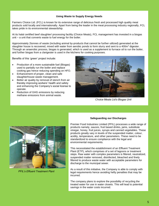#### **Using Waste to Supply Energy Needs**

Farmers Choice Ltd. (FCL) is known for its extensive range of delicious fresh and processed high quality meat products sold locally and internationally. Apart from being the leader in the meat processing industry regionally, FCL takes pride in its environmental stewardship.

At its halal certified beef slaughter/ processing facility (Choice Meats), FCL management has invested in a biogas unit – a unit that converts waste to fuel energy for the boiler.

Approximately 2tonnes of waste (including animal by-products that cannot be further utilized) generated at the slaughter house is recovered, mixed with water from aerobic ponds to form slurry and sent to a 400m<sup>3</sup> digester. Through an anaerobic process, biogas is generated, which is used as a supplement to furnace oil to run the boiler, and further biogas from a clarigester is used in the kitchens for cooking purposes.

Benefits of this 'green' project include:

- Production of a more sustainable fuel (Biogas) used to partially run the boiler and replace cooking gas hence reducing spending on HFO.
- Enhancement of proper, clean and safe slaughterhouse waste management.
- Better air quality by removal of stench from air thereby improving workers' health and safety and enhancing the Company's social license to operate.
- Reduction of GHG emissions by reducing methane emissions from animal waste.



*Choice Meats Ltd's Biogas Unit*



*PFIL's Effluent Treatment Plant*

#### **Safeguarding our Discharges**

Premier Food Industries Limited (PFIL) processes a wide range of products namely, sauces, fruit based drinks, jams, substitute vinegar, honey, fruit juices, syrups and canned vegetables. These products greatly vary in levels of the suspended matter, colour, acidity, temperature, and other parameters. These need to be standardized to ensure compliance with the legal and environmental requirements.

This necessitated the establishment of an Effluent Treatment Plant (ETP), which comprises of a set of lagoons or treatment steps. Raw water with complex parameters is filtered, neutralized, suspended matter removed, disinfected, bleached and finely filtered to produce waste water with acceptable parameters for discharge to the municipal sewer.

As a result of this initiative, the Company is able to comply with legal requirements hence avoiding hefty penalties that may be incurred.

The company plans to explore the possibility of recycling the treated water for use in water closets. This will lead to potential savings in the water costs incurred.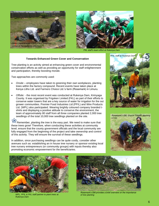



*FKL staff's team effort at Rukenya Dam* 

#### **Towards Enhanced Green Cover and Conservation**

Tree planting is an activity aimed at enhancing green cover and environmental conservation efforts as well as providing an opportunity for staff enlightenment and participation, thereby boosting morale.

Two approaches are commonly used:

- *Onsite*  employees have taken to greening their own workplaces, planting trees within the factory compound. Recent events have taken place at Kenya Litho Ltd. and Farmers Choice Ltd.'s farm (Rosemark) in Limuru.
- *Offsite:* the most recent event was conducted at Rukenya Dam, Kirinyaga County. It was organised by Frigoken Limited (FKL) as part of their efforts to conserve water towers that are a key source of water for irrigation for the out grower communities. Premier Food Industries Ltd (PFIL) and Wire Products Ltd. (WPL) also participated. Wearing brightly coloured company branded tshirts and displaying a positive attitude to conserve the environment, the team of approximately 80 staff from all three companies planted 2,000 tree seedlings of the total 10,000 tree seedlings planted on the site.

Remember, planting the tree is the easy part. We need to make sure that these trees grow! Therefore, when conducting these activities at community level, ensure that the county government officials and the local community are fully engaged from the beginning of the project and take ownership and control of this activity. They will ensure the survival of these seedlings.

In addition, since purchasing seedlings can be quite costly, consider other avenues such as: establishing an in house tree nursery or sponsor existing local tree nursery entrepreneurs (or community groups) with inputs thereby also promoting economic empowerment for the beneficiaries.







*WPL, PFIL & FKL staff partner to plant trees at Rukenya Dam*



*Rosemark's GM provides a brief overview on the importance of tree planting*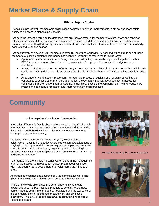# **Market Place & Supply Chain**

### **Ethical Supply Chains**

'Sedex is a not for profit membership organisation dedicated to driving improvements in ethical and responsible business practices in global supply chains.'

Sedex is the largest, secure online database that provides an avenue for members to store, share and report on ethical supply chain data in an open and transparent manner. The data is based on information on 4 key areas: Labour Standards; Health & Safety; Environment; and Business Practices. However, it not a standard setting body, code of conduct or certification.

Sedex currently has over 23,000 members, in over 150 countries worldwide; Allpack Industries Ltd. is one of these members! Allpack's decision to join Sedex has seen the Company benefit in the following ways:

- Opportunities for new business: Being a member, Allpack qualifies to be a potential supplier for other SEDEX member organizations; therefore providing the Company with a competitive edge over nonmembers.
- Provision of an efficient and cost effective way to communicate to all members at one go, as the audit is only conducted once and the report is accessible by all. This avoids the burden of multiple audits, questionnaires, etc.
- An avenue for continuous improvement: --through the process of auditing and reporting as well as the opportunity to access other members information, the Company has learnt various best practices for continuous improvement of internal systems. In doing so, it assists the company: identify and reduce risk; protects the company's reputation and improves supply chain practices.

# **Community**

#### **Taking Up Our Place in Our Communities**

International Women's Day is observed every year on the  $8<sup>th</sup>$  of March to remember the struggle of women throughout the world. In Uganda, this day is a public holiday with a series of commemorative events taking place across the country.

Kampala Pharmaceutical Industries Ltd. (KPI) joined in these celebrations. Despite being a day where people can take advantage of staying in or lazing around the house, a group of employees from KPI chose to commemorate the day by organising and participating in a Cleanup activity at Naguru Hospital, focusing primarily on the Maternity and Children's wards.

To organize this event, initial meetings were held with the management team of the hospital to introduce KPI as key pharmaceutical player within the country. Employees thereafter volunteered their time and effort.

Apart from a clean hospital environment, the beneficiaries were also given free basic items, including soap, sugar and babies clothes.

The Company was able to use this as an opportunity: to create awareness about its business and products to potential customers; demonstrate its commitment to quality healthcare and the wellbeing of the community as well as strengthen team work and employee motivation. This activity contributes towards enhancing KPI's social license to operate.



*Female KPI staff at the Clean up activity*

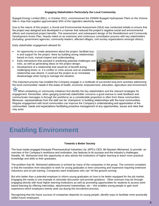#### **Engaging Stakeholders Particularly the Local Community**

Bujagali Energy Limited (BEL), in October 2012, commissioned the 250MW Bujagali Hydropower Plant on the Victoria Nile in Jinja that supplies approximately 50% of the Uganda's electricity needs.

Due to the nature of this project, a Social and Environmental Assessment (SEA) was conducted initially to ensure that the project was designed and developed in a manner that reduced the project's negative social and environmental effects and maximized project benefits. The assessment, and subsequent design of the Resettlement and Community Development Action Plan, heavily relied on an extensive and continuous consultation process with key stakeholders (including: government agencies, community leaders, affected villages, civil society organizations amongst others).

Early stakeholder engagement allowed for:

- An opportunity to create awareness about the project ,facilitate buyin and support for the project there by building strong relationships based on trust, mutual respect and understanding;
- Early interactions that assisted in predicting potential challenges and risks, as well as generating ideas on the project design;
- Development of a relationship that would be of benefit during challenging times i.e. if a conflict or crisis arouse and an established relationship was absent, it could put the project at an immediate disadvantage when trying to manage the situation.



This important process has enabled the Company engage in a multitude of successful long term activities addressing the local communities' needs in the areas of health, economic empowerment, education, agriculture and environment.

When embarking on community initiatives first identify the key stakeholders and the relevant strategies for<br>A When embarking on community initiatives first identify the key stakeholders and avenue to seek feedback and engagement. Remember, when gauging (external) stakeholder concerns a good avenue to seek feedback and communicate messages is through the workforce as a considerable proportion is often from these communities. Moreover, representatives from the staff can be 'champions' in building relationships with the local communities. Regular engagement with local communities can improve the Company's understanding and appreciation of the communities' needs and expectations facilitating proactive management of any opportunities, issues and risks that may arise.

### **Enabling Environment**

#### **Towards a Better Society**

The local media engaged Kampala Pharmaceutical Industries Ltd. (KPI)'s CEO, Mr.Nazeem Mohamed, to provide: an overview of the Company's workforce and motivation, key features to its success and the industry's challenges. Notably, Mr. Mohamed took this opportunity to also advise the institutions of higher learning to teach more practical knowledge and skills to their graduates.

The problem that Mr. Mohamed addresses is echoed by many of the companies in the group. The common complaint is that the transition from education to work for young graduates is time consuming and expensive requiring extensive inductions and on-job training. Companies want employees who can 'hit the ground running'.

But who better than a potential employer to inform young graduates on how to be better equipped for the job market. Engaging the media is one example to stimulate discussion and provide guidance. Other avenues may be through: engaging directly with local higher learning institutions as well as promoting opportunities for students to access workbased learning by offering internships, attachments/ traineeships, etc – this enables young people to gain work experience which employers keenly seek out during the recruitment process.

Recognising that the future success of companies depends on young people, identify ways to facilitate more practically skilled future employees.